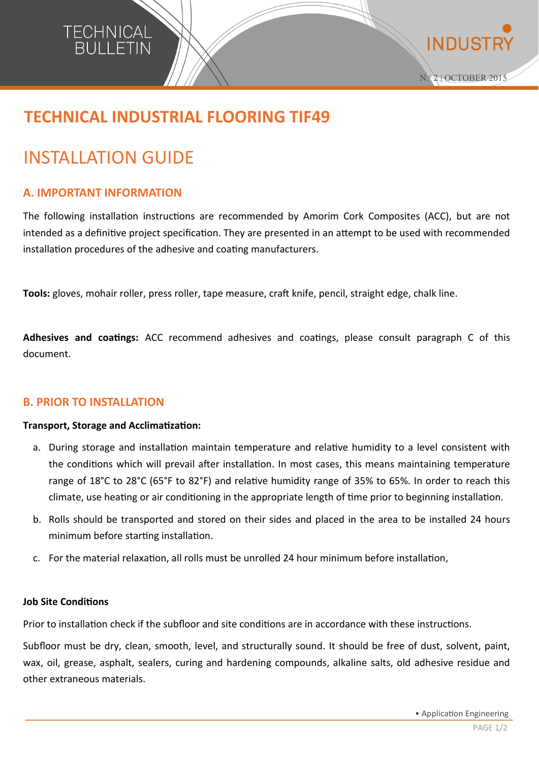

# **TECHNICAL INDUSTRIAL FLOORING TIF49**

# INSTALLATION GUIDE

# **A. IMPORTANT INFORMATION**

The following installation instructions are recommended by Amorim Cork Composites (ACC), but are not intended as a definitive project specification. They are presented in an attempt to be used with recommended installation procedures of the adhesive and coating manufacturers.

**Tools:** gloves, mohair roller, press roller, tape measure, craft knife, pencil, straight edge, chalk line.

**Adhesives and coatings:** ACC recommend adhesives and coatings, please consult paragraph C of this document.

## **B. PRIOR TO INSTALLATION**

#### **Transport, Storage and Acclimatization:**

- a. During storage and installation maintain temperature and relative humidity to a level consistent with the conditions which will prevail after installation. In most cases, this means maintaining temperature range of 18°C to 28°C (65°F to 82°F) and relative humidity range of 35% to 65%. In order to reach this climate, use heating or air conditioning in the appropriate length of time prior to beginning installation.
- b. Rolls should be transported and stored on their sides and placed in the area to be installed 24 hours minimum before starting installation.
- c. For the material relaxation, all rolls must be unrolled 24 hour minimum before installation,

#### **Job Site Conditions**

Prior to installation check if the subfloor and site conditions are in accordance with these instructions.

Subfloor must be dry, clean, smooth, level, and structurally sound. It should be free of dust, solvent, paint, wax, oil, grease, asphalt, sealers, curing and hardening compounds, alkaline salts, old adhesive residue and other extraneous materials.